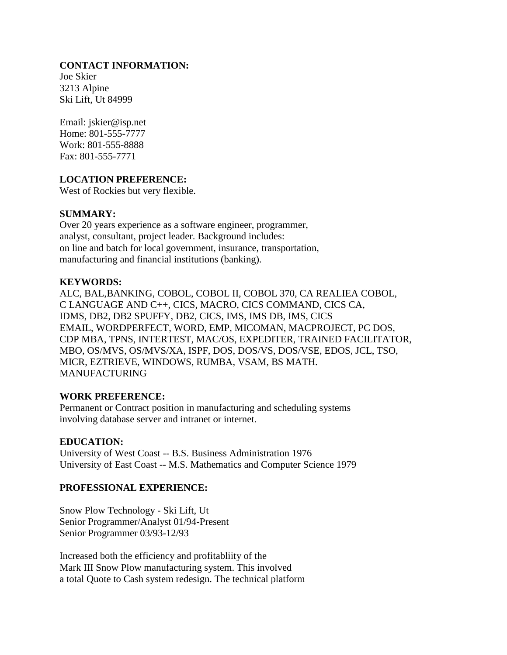### **CONTACT INFORMATION:**

Joe Skier 3213 Alpine Ski Lift, Ut 84999

Email: jskier@isp.net Home: 801-555-7777 Work: 801-555-8888 Fax: 801-555-7771

# **LOCATION PREFERENCE:**

West of Rockies but very flexible.

### **SUMMARY:**

Over 20 years experience as a software engineer, programmer, analyst, consultant, project leader. Background includes: on line and batch for local government, insurance, transportation, manufacturing and financial institutions (banking).

### **KEYWORDS:**

ALC, BAL,BANKING, COBOL, COBOL II, COBOL 370, CA REALIEA COBOL, C LANGUAGE AND C++, CICS, MACRO, CICS COMMAND, CICS CA, IDMS, DB2, DB2 SPUFFY, DB2, CICS, IMS, IMS DB, IMS, CICS EMAIL, WORDPERFECT, WORD, EMP, MICOMAN, MACPROJECT, PC DOS, CDP MBA, TPNS, INTERTEST, MAC/OS, EXPEDITER, TRAINED FACILITATOR, MBO, OS/MVS, OS/MVS/XA, ISPF, DOS, DOS/VS, DOS/VSE, EDOS, JCL, TSO, MICR, EZTRIEVE, WINDOWS, RUMBA, VSAM, BS MATH. MANUFACTURING

#### **WORK PREFERENCE:**

Permanent or Contract position in manufacturing and scheduling systems involving database server and intranet or internet.

#### **EDUCATION:**

University of West Coast -- B.S. Business Administration 1976 University of East Coast -- M.S. Mathematics and Computer Science 1979

# **PROFESSIONAL EXPERIENCE:**

Snow Plow Technology - Ski Lift, Ut Senior Programmer/Analyst 01/94-Present Senior Programmer 03/93-12/93

Increased both the efficiency and profitabliity of the Mark III Snow Plow manufacturing system. This involved a total Quote to Cash system redesign. The technical platform